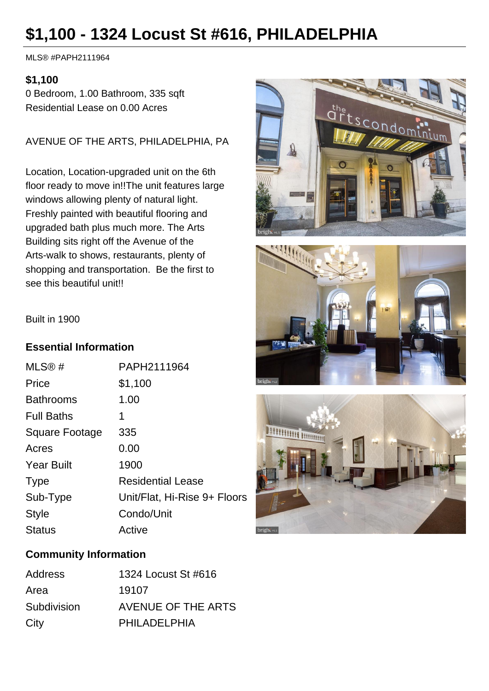# **\$1,100 - 1324 Locust St #616, PHILADELPHIA**

MLS® #PAPH2111964

### **\$1,100**

0 Bedroom, 1.00 Bathroom, 335 sqft Residential Lease on 0.00 Acres

AVENUE OF THE ARTS, PHILADELPHIA, PA

Location, Location-upgraded unit on the 6th floor ready to move in!!The unit features large windows allowing plenty of natural light. Freshly painted with beautiful flooring and upgraded bath plus much more. The Arts Building sits right off the Avenue of the Arts-walk to shows, restaurants, plenty of shopping and transportation. Be the first to see this beautiful unit!!







#### Built in 1900

#### **Essential Information**

| MLS®#             | PAPH2111964                  |
|-------------------|------------------------------|
| Price             | \$1,100                      |
| <b>Bathrooms</b>  | 1.00                         |
| <b>Full Baths</b> | 1                            |
| Square Footage    | 335                          |
| Acres             | 0.00                         |
| <b>Year Built</b> | 1900                         |
| <b>Type</b>       | <b>Residential Lease</b>     |
| Sub-Type          | Unit/Flat, Hi-Rise 9+ Floors |
| <b>Style</b>      | Condo/Unit                   |
| <b>Status</b>     | Active                       |

## **Community Information**

| Address     | 1324 Locust St #616 |
|-------------|---------------------|
| Area        | 19107               |
| Subdivision | AVENUE OF THE ARTS  |
| City        | PHILADELPHIA        |